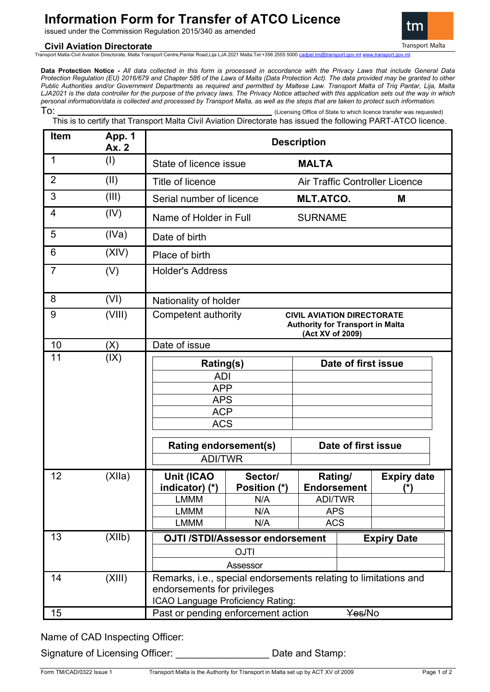# **Information Form for Transfer of ATCO Licence**

issued under the Commission Regulation 2015/340 as amended

## **Civil Aviation Directorate**

Transport Malta-Civil Aviation Directorate, Malta Transport Centre,Pantar Road,Lija LJA 2021 Malta.Tel:+356 2555 5000 [cadpel.tm@transport.gov.mt](mailto:cadpel.tm@transport.gov.mt) www.trans

**Data Protection Notice -** *All data collected in this form is processed in accordance with the Privacy Laws that include General Data Protection Regulation (EU) 2016/679 and Chapter 586 of the Laws of Malta (Data Protection Act). The data provided may be granted to other Public Authorities and/or Government Departments as required and permitted by Maltese Law. Transport Malta of Triq Pantar, Lija, Malta LJA2021 is the data controller for the purpose of the privacy laws. The Privacy Notice attached with this application sets out the way in which personal information/data is collected and processed by Transport Malta, as well as the steps that are taken to protect such information.*

To: (Licensing Office of State to which licence transfer was requested) This is to certify that Transport Malta Civil Aviation Directorate has issued the following PART-ATCO licence.

| <b>Item</b>    | App. 1<br>Ax. 2 | <b>Description</b>                                                                                                      |                                       |                               |                     |                           |
|----------------|-----------------|-------------------------------------------------------------------------------------------------------------------------|---------------------------------------|-------------------------------|---------------------|---------------------------|
| 1              | (1)             | State of licence issue                                                                                                  | <b>MALTA</b>                          |                               |                     |                           |
| $\overline{2}$ | (II)            | Title of licence                                                                                                        | <b>Air Traffic Controller Licence</b> |                               |                     |                           |
| 3              | (III)           | Serial number of licence                                                                                                |                                       | <b>MLT.ATCO.</b>              |                     | M                         |
| 4              | (IV)            | Name of Holder in Full                                                                                                  |                                       | <b>SURNAME</b>                |                     |                           |
| 5              | (IVa)           | Date of birth                                                                                                           |                                       |                               |                     |                           |
| 6              | (XIV)           | Place of birth                                                                                                          |                                       |                               |                     |                           |
| $\overline{7}$ | (V)             | <b>Holder's Address</b>                                                                                                 |                                       |                               |                     |                           |
| 8              | (VI)            | Nationality of holder                                                                                                   |                                       |                               |                     |                           |
| 9              | (VIII)          | Competent authority<br><b>CIVIL AVIATION DIRECTORATE</b><br><b>Authority for Transport in Malta</b><br>(Act XV of 2009) |                                       |                               |                     |                           |
| 10             | (X)             | Date of issue                                                                                                           |                                       |                               |                     |                           |
| 11             | (IX)            | Rating(s)<br><b>ADI</b><br><b>APP</b><br><b>APS</b><br><b>ACP</b><br><b>ACS</b>                                         |                                       |                               | Date of first issue |                           |
|                |                 | <b>Rating endorsement(s)</b>                                                                                            |                                       | Date of first issue           |                     |                           |
|                |                 | <b>ADI/TWR</b>                                                                                                          |                                       |                               |                     |                           |
| 12             | (XIIa)          | <b>Unit (ICAO</b><br>indicator) (*)                                                                                     | Sector/<br>Position (*)               | Rating/<br><b>Endorsement</b> |                     | <b>Expiry date</b><br>(*) |
|                |                 | <b>LMMM</b>                                                                                                             | N/A                                   | <b>ADI/TWR</b>                |                     |                           |
|                |                 | <b>LMMM</b>                                                                                                             | N/A                                   | <b>APS</b>                    |                     |                           |
|                |                 | <b>LMMM</b>                                                                                                             | N/A                                   | <b>ACS</b>                    |                     |                           |
| 13             | (XI1b)          | <b>OJTI /STDI/Assessor endorsement</b><br><b>OJTI</b>                                                                   |                                       |                               |                     | <b>Expiry Date</b>        |
|                |                 |                                                                                                                         |                                       |                               |                     |                           |
| 14             | (XIII)          | Assessor<br>Remarks, i.e., special endorsements relating to limitations and                                             |                                       |                               |                     |                           |
|                |                 | endorsements for privileges                                                                                             |                                       |                               |                     |                           |
|                |                 | ICAO Language Proficiency Rating:                                                                                       |                                       |                               |                     |                           |
| 15             |                 | Past or pending enforcement action                                                                                      |                                       |                               | Yes/No              |                           |

Name of CAD Inspecting Officer:

Signature of Licensing Officer: Date and Stamp: